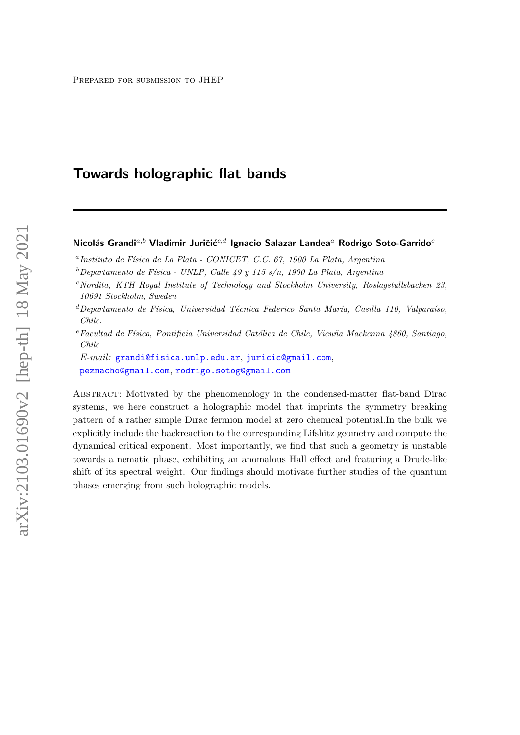# Towards holographic flat bands

# Nicolás Grandi<sup>a,b</sup> Vladimir Juričić<sup>c,d</sup> Ignacio Salazar Landea<sup>a</sup> Rodrigo Soto-Garrido<sup>e</sup>

<sup>a</sup> Instituto de Física de La Plata - CONICET, C.C. 67, 1900 La Plata, Argentina

- $c$ Nordita, KTH Royal Institute of Technology and Stockholm University, Roslagstullsbacken 23, 10691 Stockholm, Sweden
- ${}^{d}$ Departamento de Física, Universidad Técnica Federico Santa María, Casilla 110, Valparaíso, Chile.
- $e$ Facultad de Física, Pontificia Universidad Católica de Chile, Vicuña Mackenna 4860, Santiago, Chile

E-mail: [grandi@fisica.unlp.edu.ar](mailto:grandi@fisica.unlp.edu.ar), [juricic@gmail.com](mailto:juricic@gmail.com), [peznacho@gmail.com](mailto:peznacho@gmail.com), [rodrigo.sotog@gmail.com](mailto:rodrigo.sotog@gmail.com)

Abstract: Motivated by the phenomenology in the condensed-matter flat-band Dirac systems, we here construct a holographic model that imprints the symmetry breaking pattern of a rather simple Dirac fermion model at zero chemical potential.In the bulk we explicitly include the backreaction to the corresponding Lifshitz geometry and compute the dynamical critical exponent. Most importantly, we find that such a geometry is unstable towards a nematic phase, exhibiting an anomalous Hall effect and featuring a Drude-like shift of its spectral weight. Our findings should motivate further studies of the quantum phases emerging from such holographic models.

 $b$ Departamento de Física - UNLP, Calle 49 y 115 s/n, 1900 La Plata, Argentina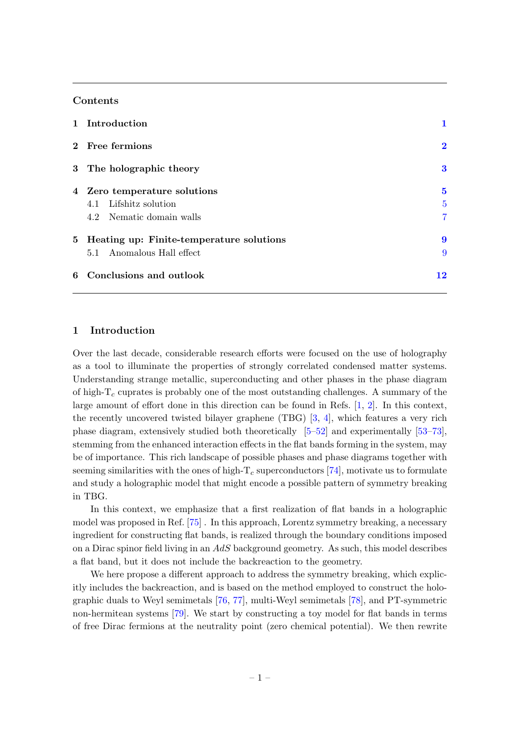# Contents

|  | 1 Introduction                             |                |
|--|--------------------------------------------|----------------|
|  | 2 Free fermions                            | $\mathbf 2$    |
|  | 3 The holographic theory                   | 3              |
|  | 4 Zero temperature solutions               | $\bf{5}$       |
|  | 4.1 Lifshitz solution                      | $\overline{5}$ |
|  | 4.2 Nematic domain walls                   | 7              |
|  | 5 Heating up: Finite-temperature solutions | 9              |
|  | 5.1 Anomalous Hall effect                  | 9              |
|  | 6 Conclusions and outlook                  | 12             |

# <span id="page-1-0"></span>1 Introduction

Over the last decade, considerable research efforts were focused on the use of holography as a tool to illuminate the properties of strongly correlated condensed matter systems. Understanding strange metallic, superconducting and other phases in the phase diagram of high- $T_c$  cuprates is probably one of the most outstanding challenges. A summary of the large amount of effort done in this direction can be found in Refs. [\[1,](#page-13-0) [2\]](#page-13-1). In this context, the recently uncovered twisted bilayer graphene (TBG) [\[3,](#page-13-2) [4\]](#page-13-3), which features a very rich phase diagram, extensively studied both theoretically [\[5–](#page-13-4)[52\]](#page-16-0) and experimentally [\[53–](#page-16-1)[73\]](#page-17-0), stemming from the enhanced interaction effects in the flat bands forming in the system, may be of importance. This rich landscape of possible phases and phase diagrams together with seeming similarities with the ones of high- $T_c$  superconductors [\[74\]](#page-17-1), motivate us to formulate and study a holographic model that might encode a possible pattern of symmetry breaking in TBG.

In this context, we emphasize that a first realization of flat bands in a holographic model was proposed in Ref. [\[75\]](#page-17-2) . In this approach, Lorentz symmetry breaking, a necessary ingredient for constructing flat bands, is realized through the boundary conditions imposed on a Dirac spinor field living in an  $AdS$  background geometry. As such, this model describes a flat band, but it does not include the backreaction to the geometry.

We here propose a different approach to address the symmetry breaking, which explicitly includes the backreaction, and is based on the method employed to construct the holographic duals to Weyl semimetals [\[76,](#page-17-3) [77\]](#page-17-4), multi-Weyl semimetals [\[78\]](#page-18-0), and PT-symmetric non-hermitean systems [\[79\]](#page-18-1). We start by constructing a toy model for flat bands in terms of free Dirac fermions at the neutrality point (zero chemical potential). We then rewrite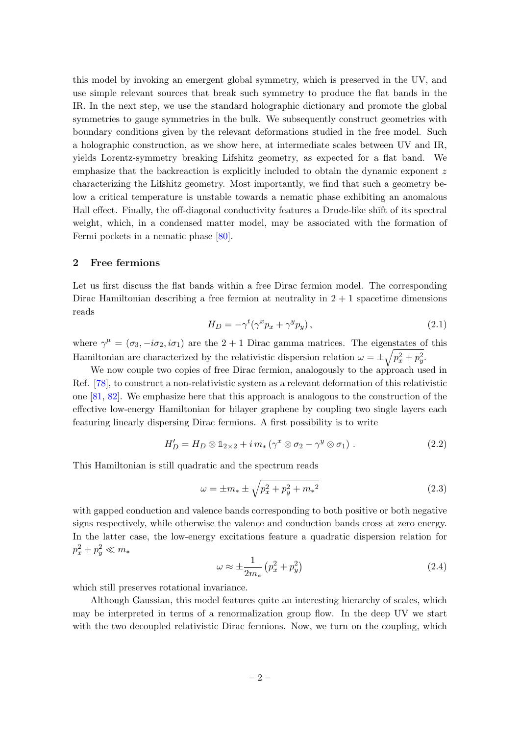this model by invoking an emergent global symmetry, which is preserved in the UV, and use simple relevant sources that break such symmetry to produce the flat bands in the IR. In the next step, we use the standard holographic dictionary and promote the global symmetries to gauge symmetries in the bulk. We subsequently construct geometries with boundary conditions given by the relevant deformations studied in the free model. Such a holographic construction, as we show here, at intermediate scales between UV and IR, yields Lorentz-symmetry breaking Lifshitz geometry, as expected for a flat band. We emphasize that the backreaction is explicitly included to obtain the dynamic exponent z characterizing the Lifshitz geometry. Most importantly, we find that such a geometry below a critical temperature is unstable towards a nematic phase exhibiting an anomalous Hall effect. Finally, the off-diagonal conductivity features a Drude-like shift of its spectral weight, which, in a condensed matter model, may be associated with the formation of Fermi pockets in a nematic phase [\[80\]](#page-18-2).

## <span id="page-2-0"></span>2 Free fermions

Let us first discuss the flat bands within a free Dirac fermion model. The corresponding Dirac Hamiltonian describing a free fermion at neutrality in  $2 + 1$  spacetime dimensions reads

$$
H_D = -\gamma^t (\gamma^x p_x + \gamma^y p_y), \qquad (2.1)
$$

where  $\gamma^{\mu} = (\sigma_3, -i\sigma_2, i\sigma_1)$  are the 2 + 1 Dirac gamma matrices. The eigenstates of this Hamiltonian are characterized by the relativistic dispersion relation  $\omega = \pm \sqrt{p_x^2 + p_y^2}$ .

We now couple two copies of free Dirac fermion, analogously to the approach used in Ref. [\[78\]](#page-18-0), to construct a non-relativistic system as a relevant deformation of this relativistic one [\[81,](#page-18-3) [82\]](#page-18-4). We emphasize here that this approach is analogous to the construction of the effective low-energy Hamiltonian for bilayer graphene by coupling two single layers each featuring linearly dispersing Dirac fermions. A first possibility is to write

<span id="page-2-1"></span>
$$
H'_D = H_D \otimes 1_{2 \times 2} + i \, m_* \left( \gamma^x \otimes \sigma_2 - \gamma^y \otimes \sigma_1 \right) \,. \tag{2.2}
$$

This Hamiltonian is still quadratic and the spectrum reads

$$
\omega = \pm m_* \pm \sqrt{p_x^2 + p_y^2 + m_*^2}
$$
 (2.3)

with gapped conduction and valence bands corresponding to both positive or both negative signs respectively, while otherwise the valence and conduction bands cross at zero energy. In the latter case, the low-energy excitations feature a quadratic dispersion relation for  $p_x^2+p_y^2\ll m_*$ 

$$
\omega \approx \pm \frac{1}{2m_*} \left( p_x^2 + p_y^2 \right) \tag{2.4}
$$

which still preserves rotational invariance.

Although Gaussian, this model features quite an interesting hierarchy of scales, which may be interpreted in terms of a renormalization group flow. In the deep UV we start with the two decoupled relativistic Dirac fermions. Now, we turn on the coupling, which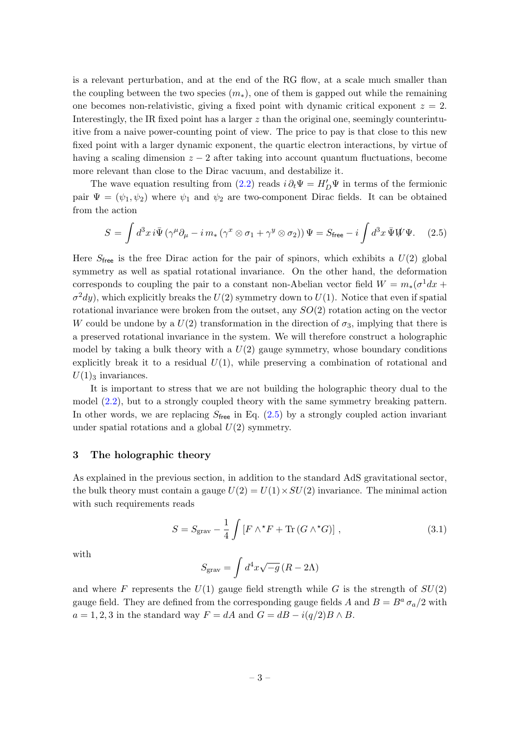is a relevant perturbation, and at the end of the RG flow, at a scale much smaller than the coupling between the two species  $(m_*)$ , one of them is gapped out while the remaining one becomes non-relativistic, giving a fixed point with dynamic critical exponent  $z = 2$ . Interestingly, the IR fixed point has a larger  $z$  than the original one, seemingly counterintuitive from a naive power-counting point of view. The price to pay is that close to this new fixed point with a larger dynamic exponent, the quartic electron interactions, by virtue of having a scaling dimension  $z - 2$  after taking into account quantum fluctuations, become more relevant than close to the Dirac vacuum, and destabilize it.

The wave equation resulting from [\(2.2\)](#page-2-1) reads  $i \partial_t \Psi = H'_D \Psi$  in terms of the fermionic pair  $\Psi = (\psi_1, \psi_2)$  where  $\psi_1$  and  $\psi_2$  are two-component Dirac fields. It can be obtained from the action

<span id="page-3-1"></span>
$$
S = \int d^3x \, i\bar{\Psi} \left( \gamma^{\mu} \partial_{\mu} - i \, m_{*} \left( \gamma^{x} \otimes \sigma_{1} + \gamma^{y} \otimes \sigma_{2} \right) \right) \Psi = S_{\text{free}} - i \int d^3x \, \bar{\Psi} \mathcal{W} \Psi. \tag{2.5}
$$

Here  $S_{\text{free}}$  is the free Dirac action for the pair of spinors, which exhibits a  $U(2)$  global symmetry as well as spatial rotational invariance. On the other hand, the deformation corresponds to coupling the pair to a constant non-Abelian vector field  $W = m_*(\sigma^1 dx +$  $\sigma^2 dy$ , which explicitly breaks the  $U(2)$  symmetry down to  $U(1)$ . Notice that even if spatial rotational invariance were broken from the outset, any  $SO(2)$  rotation acting on the vector W could be undone by a  $U(2)$  transformation in the direction of  $\sigma_3$ , implying that there is a preserved rotational invariance in the system. We will therefore construct a holographic model by taking a bulk theory with a  $U(2)$  gauge symmetry, whose boundary conditions explicitly break it to a residual  $U(1)$ , while preserving a combination of rotational and  $U(1)$ <sub>3</sub> invariances.

It is important to stress that we are not building the holographic theory dual to the model [\(2.2\)](#page-2-1), but to a strongly coupled theory with the same symmetry breaking pattern. In other words, we are replacing  $S_{\text{free}}$  in Eq. [\(2.5\)](#page-3-1) by a strongly coupled action invariant under spatial rotations and a global  $U(2)$  symmetry.

#### <span id="page-3-0"></span>3 The holographic theory

As explained in the previous section, in addition to the standard AdS gravitational sector, the bulk theory must contain a gauge  $U(2) = U(1) \times SU(2)$  invariance. The minimal action with such requirements reads

<span id="page-3-2"></span>
$$
S = S_{\text{grav}} - \frac{1}{4} \int \left[ F \wedge^{\star} F + \text{Tr} \left( G \wedge^{\star} G \right) \right], \tag{3.1}
$$

with

$$
S_{\rm grav} = \int d^4x \sqrt{-g} \left( R - 2\Lambda \right)
$$

and where F represents the  $U(1)$  gauge field strength while G is the strength of  $SU(2)$ gauge field. They are defined from the corresponding gauge fields A and  $B = B^a \sigma_a/2$  with  $a = 1, 2, 3$  in the standard way  $F = dA$  and  $G = dB - i(q/2)B \wedge B$ .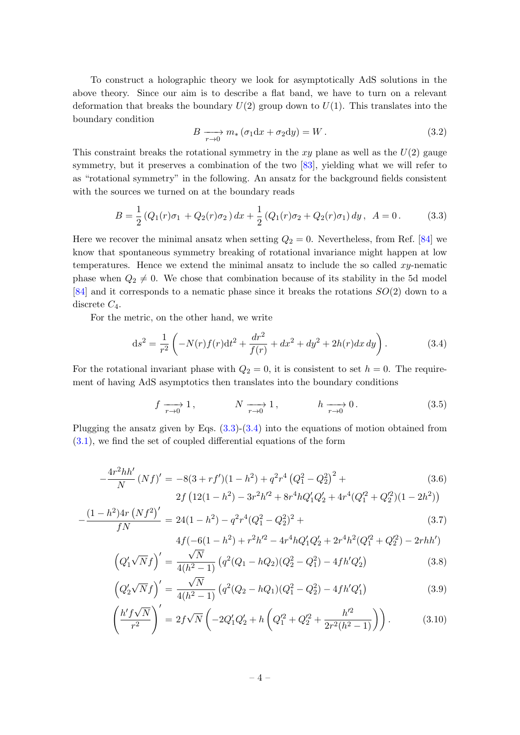To construct a holographic theory we look for asymptotically AdS solutions in the above theory. Since our aim is to describe a flat band, we have to turn on a relevant deformation that breaks the boundary  $U(2)$  group down to  $U(1)$ . This translates into the boundary condition

<span id="page-4-2"></span>
$$
B \xrightarrow[r \to 0]{} m_* \left( \sigma_1 \mathrm{d}x + \sigma_2 \mathrm{d}y \right) = W \,. \tag{3.2}
$$

This constraint breaks the rotational symmetry in the xy plane as well as the  $U(2)$  gauge symmetry, but it preserves a combination of the two [\[83\]](#page-18-5), yielding what we will refer to as "rotational symmetry" in the following. An ansatz for the background fields consistent with the sources we turned on at the boundary reads

<span id="page-4-0"></span>
$$
B = \frac{1}{2} \left( Q_1(r)\sigma_1 + Q_2(r)\sigma_2 \right) dx + \frac{1}{2} \left( Q_1(r)\sigma_2 + Q_2(r)\sigma_1 \right) dy, \ \ A = 0. \tag{3.3}
$$

Here we recover the minimal ansatz when setting  $Q_2 = 0$ . Nevertheless, from Ref. [\[84\]](#page-18-6) we know that spontaneous symmetry breaking of rotational invariance might happen at low temperatures. Hence we extend the minimal ansatz to include the so called  $xy$ -nematic phase when  $Q_2 \neq 0$ . We chose that combination because of its stability in the 5d model [\[84\]](#page-18-6) and it corresponds to a nematic phase since it breaks the rotations SO(2) down to a discrete  $C_4$ .

For the metric, on the other hand, we write

<span id="page-4-1"></span>
$$
ds^{2} = \frac{1}{r^{2}} \left( -N(r)f(r)dt^{2} + \frac{dr^{2}}{f(r)} + dx^{2} + dy^{2} + 2h(r)dx dy \right).
$$
 (3.4)

For the rotational invariant phase with  $Q_2 = 0$ , it is consistent to set  $h = 0$ . The requirement of having AdS asymptotics then translates into the boundary conditions

<span id="page-4-3"></span>
$$
f \xrightarrow[r \to 0]{} 1,
$$
  $N \xrightarrow[r \to 0]{} 1,$   $h \xrightarrow[r \to 0]{} 0.$  (3.5)

Plugging the ansatz given by Eqs. [\(3.3\)](#page-4-0)-[\(3.4\)](#page-4-1) into the equations of motion obtained from  $(3.1)$ , we find the set of coupled differential equations of the form

<span id="page-4-4"></span>
$$
-\frac{4r^2hh'}{N}(Nf)' = -8(3+rf')(1-h^2) + q^2r^4(Q_1^2-Q_2^2)^2 +
$$
  
2f (12(1-h^2) - 3r^2h'^2 + 8r^4hQ'\_1Q'\_2 + 4r^4(Q\_1'^2+Q\_2'^2)(1-2h^2))

$$
-\frac{(1-h^2)4r(Nf^2)'}{fN} = 24(1-h^2) - q^2r^4(Q_1^2-Q_2^2)^2 +
$$
\n(3.7)

$$
4f(-6(1-h^2)+r^2h'^2-4r^4hQ'_1Q'_2+2r^4h^2(Q'^2_1+Q'^2_2)-2rhh')
$$

$$
\left(Q_1'\sqrt{N}f\right)' = \frac{\sqrt{N}}{4(h^2-1)}\left(q^2(Q_1-hQ_2)(Q_2^2-Q_1^2) - 4fh'Q_2'\right)
$$
\n(3.8)

$$
\left(Q_2'\sqrt{N}f\right)' = \frac{\sqrt{N}}{4(h^2-1)}\left(q^2(Q_2-hQ_1)(Q_1^2-Q_2^2) - 4fh'Q_1'\right)
$$
\n(3.9)

$$
\left(\frac{h'f\sqrt{N}}{r^2}\right)' = 2f\sqrt{N}\left(-2Q_1'Q_2' + h\left(Q_1'^2 + Q_2'^2 + \frac{h'^2}{2r^2(h^2 - 1)}\right)\right). \tag{3.10}
$$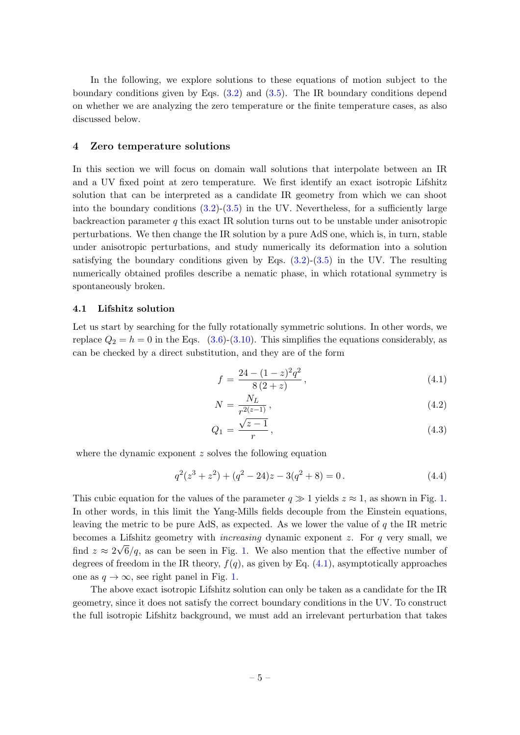In the following, we explore solutions to these equations of motion subject to the boundary conditions given by Eqs. [\(3.2\)](#page-4-2) and [\(3.5\)](#page-4-3). The IR boundary conditions depend on whether we are analyzing the zero temperature or the finite temperature cases, as also discussed below.

#### <span id="page-5-0"></span>4 Zero temperature solutions

In this section we will focus on domain wall solutions that interpolate between an IR and a UV fixed point at zero temperature. We first identify an exact isotropic Lifshitz solution that can be interpreted as a candidate IR geometry from which we can shoot into the boundary conditions  $(3.2)-(3.5)$  $(3.2)-(3.5)$  $(3.2)-(3.5)$  in the UV. Nevertheless, for a sufficiently large backreaction parameter  $q$  this exact IR solution turns out to be unstable under anisotropic perturbations. We then change the IR solution by a pure AdS one, which is, in turn, stable under anisotropic perturbations, and study numerically its deformation into a solution satisfying the boundary conditions given by Eqs.  $(3.2)-(3.5)$  $(3.2)-(3.5)$  $(3.2)-(3.5)$  in the UV. The resulting numerically obtained profiles describe a nematic phase, in which rotational symmetry is spontaneously broken.

#### <span id="page-5-1"></span>4.1 Lifshitz solution

Let us start by searching for the fully rotationally symmetric solutions. In other words, we replace  $Q_2 = h = 0$  in the Eqs. [\(3.6\)](#page-4-4)-[\(3.10\)](#page-4-4). This simplifies the equations considerably, as can be checked by a direct substitution, and they are of the form

<span id="page-5-2"></span>
$$
f = \frac{24 - (1 - z)^2 q^2}{8 (2 + z)},
$$
\n(4.1)

$$
N = \frac{N_L}{r^{2(z-1)}},
$$
\n(4.2)

$$
Q_1 = \frac{\sqrt{z-1}}{r},\tag{4.3}
$$

where the dynamic exponent  $z$  solves the following equation

<span id="page-5-3"></span>
$$
q^{2}(z^{3} + z^{2}) + (q^{2} - 24)z - 3(q^{2} + 8) = 0.
$$
\n(4.4)

This cubic equation for the values of the parameter  $q \gg 1$  yields  $z \approx 1$ , as shown in Fig. [1.](#page-6-0) In other words, in this limit the Yang-Mills fields decouple from the Einstein equations, leaving the metric to be pure AdS, as expected. As we lower the value of  $q$  the IR metric becomes a Lifshitz geometry with *increasing* dynamic exponent z. For q very small, we find  $z \approx 2\sqrt{6}/q$ , as can be seen in Fig. [1.](#page-6-0) We also mention that the effective number of degrees of freedom in the IR theory,  $f(q)$ , as given by Eq. [\(4.1\)](#page-5-2), asymptotically approaches one as  $q \to \infty$ , see right panel in Fig. [1.](#page-6-0)

The above exact isotropic Lifshitz solution can only be taken as a candidate for the IR geometry, since it does not satisfy the correct boundary conditions in the UV. To construct the full isotropic Lifshitz background, we must add an irrelevant perturbation that takes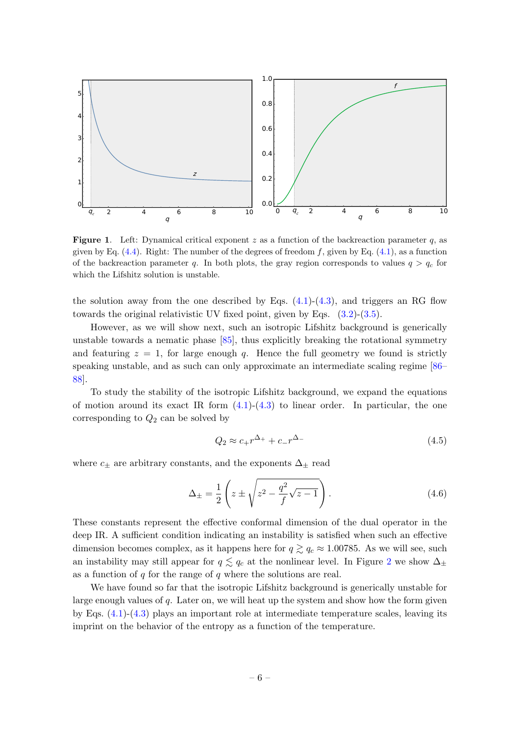

<span id="page-6-0"></span>**Figure 1.** Left: Dynamical critical exponent z as a function of the backreaction parameter q, as given by Eq.  $(4.4)$ . Right: The number of the degrees of freedom f, given by Eq.  $(4.1)$ , as a function of the backreaction parameter q. In both plots, the gray region corresponds to values  $q > q_c$  for which the Lifshitz solution is unstable.

the solution away from the one described by Eqs.  $(4.1)-(4.3)$  $(4.1)-(4.3)$  $(4.1)-(4.3)$ , and triggers an RG flow towards the original relativistic UV fixed point, given by Eqs.  $(3.2)-(3.5)$  $(3.2)-(3.5)$  $(3.2)-(3.5)$ .

However, as we will show next, such an isotropic Lifshitz background is generically unstable towards a nematic phase [\[85\]](#page-18-7), thus explicitly breaking the rotational symmetry and featuring  $z = 1$ , for large enough q. Hence the full geometry we found is strictly speaking unstable, and as such can only approximate an intermediate scaling regime [\[86–](#page-18-8) [88\]](#page-18-9).

To study the stability of the isotropic Lifshitz background, we expand the equations of motion around its exact IR form  $(4.1)-(4.3)$  $(4.1)-(4.3)$  $(4.1)-(4.3)$  to linear order. In particular, the one corresponding to  $Q_2$  can be solved by

$$
Q_2 \approx c_+ r^{\Delta_+} + c_- r^{\Delta_-} \tag{4.5}
$$

where  $c_{\pm}$  are arbitrary constants, and the exponents  $\Delta_{\pm}$  read

<span id="page-6-1"></span>
$$
\Delta_{\pm} = \frac{1}{2} \left( z \pm \sqrt{z^2 - \frac{q^2}{f} \sqrt{z - 1}} \right). \tag{4.6}
$$

These constants represent the effective conformal dimension of the dual operator in the deep IR. A sufficient condition indicating an instability is satisfied when such an effective dimension becomes complex, as it happens here for  $q \gtrsim q_c \approx 1.00785$ . As we will see, such an instability may still appear for  $q \lesssim q_c$  at the nonlinear level. In Figure [2](#page-7-1) we show  $\Delta_{\pm}$ as a function of  $q$  for the range of  $q$  where the solutions are real.

We have found so far that the isotropic Lifshitz background is generically unstable for large enough values of  $q$ . Later on, we will heat up the system and show how the form given by Eqs. [\(4.1\)](#page-5-2)-[\(4.3\)](#page-5-2) plays an important role at intermediate temperature scales, leaving its imprint on the behavior of the entropy as a function of the temperature.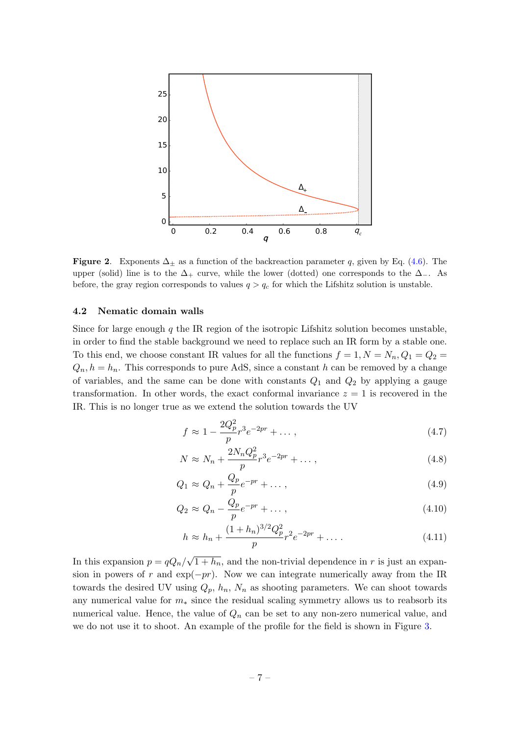

<span id="page-7-1"></span>Figure 2. Exponents  $\Delta_{\pm}$  as a function of the backreaction parameter q, given by Eq. [\(4.6\)](#page-6-1). The upper (solid) line is to the  $\Delta_+$  curve, while the lower (dotted) one corresponds to the  $\Delta_-$ . As before, the gray region corresponds to values  $q > q_c$  for which the Lifshitz solution is unstable.

#### <span id="page-7-0"></span>4.2 Nematic domain walls

Since for large enough  $q$  the IR region of the isotropic Lifshitz solution becomes unstable, in order to find the stable background we need to replace such an IR form by a stable one. To this end, we choose constant IR values for all the functions  $f = 1, N = N_n, Q_1 = Q_2$  $Q_n, h = h_n$ . This corresponds to pure AdS, since a constant h can be removed by a change of variables, and the same can be done with constants  $Q_1$  and  $Q_2$  by applying a gauge transformation. In other words, the exact conformal invariance  $z = 1$  is recovered in the IR. This is no longer true as we extend the solution towards the UV

<span id="page-7-2"></span>
$$
f \approx 1 - \frac{2Q_p^2}{p} r^3 e^{-2pr} + \dots, \qquad (4.7)
$$

$$
N \approx N_n + \frac{2N_n Q_p^2}{p} r^3 e^{-2pr} + \dots, \qquad (4.8)
$$

$$
Q_1 \approx Q_n + \frac{Q_p}{p} e^{-pr} + \dots \,, \tag{4.9}
$$

$$
Q_2 \approx Q_n - \frac{Q_p}{p} e^{-pr} + \dots \,,\tag{4.10}
$$

$$
h \approx h_n + \frac{(1 + h_n)^{3/2} Q_p^2}{p} r^2 e^{-2pr} + \dots \tag{4.11}
$$

In this expansion  $p = qQ_n/$ √  $\overline{1+h_n}$ , and the non-trivial dependence in r is just an expansion in powers of r and  $exp(-pr)$ . Now we can integrate numerically away from the IR towards the desired UV using  $Q_p$ ,  $h_n$ ,  $N_n$  as shooting parameters. We can shoot towards any numerical value for  $m_*$  since the residual scaling symmetry allows us to reabsorb its numerical value. Hence, the value of  $Q_n$  can be set to any non-zero numerical value, and we do not use it to shoot. An example of the profile for the field is shown in Figure [3.](#page-8-0)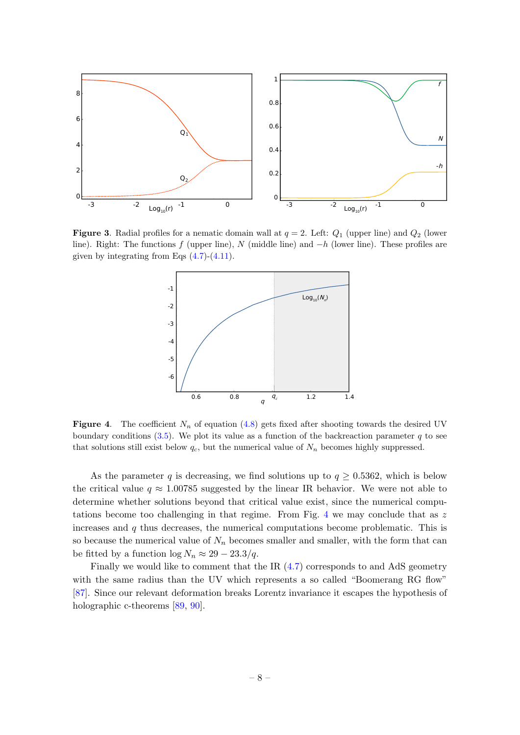

<span id="page-8-0"></span>**Figure 3.** Radial profiles for a nematic domain wall at  $q = 2$ . Left:  $Q_1$  (upper line) and  $Q_2$  (lower line). Right: The functions f (upper line), N (middle line) and  $-h$  (lower line). These profiles are given by integrating from Eqs  $(4.7)-(4.11)$  $(4.7)-(4.11)$  $(4.7)-(4.11)$ .



<span id="page-8-1"></span>Figure 4. The coefficient  $N_n$  of equation [\(4.8\)](#page-7-2) gets fixed after shooting towards the desired UV boundary conditions  $(3.5)$ . We plot its value as a function of the backreaction parameter q to see that solutions still exist below  $q_c$ , but the numerical value of  $N_n$  becomes highly suppressed.

As the parameter q is decreasing, we find solutions up to  $q \ge 0.5362$ , which is below the critical value  $q \approx 1.00785$  suggested by the linear IR behavior. We were not able to determine whether solutions beyond that critical value exist, since the numerical compu-tations become too challenging in that regime. From Fig. [4](#page-8-1) we may conclude that as  $z$ increases and  $q$  thus decreases, the numerical computations become problematic. This is so because the numerical value of  $N_n$  becomes smaller and smaller, with the form that can be fitted by a function  $\log N_n \approx 29 - 23.3/q$ .

Finally we would like to comment that the IR [\(4.7\)](#page-7-2) corresponds to and AdS geometry with the same radius than the UV which represents a so called "Boomerang RG flow" [\[87\]](#page-18-10). Since our relevant deformation breaks Lorentz invariance it escapes the hypothesis of holographic c-theorems [\[89,](#page-18-11) [90\]](#page-18-12).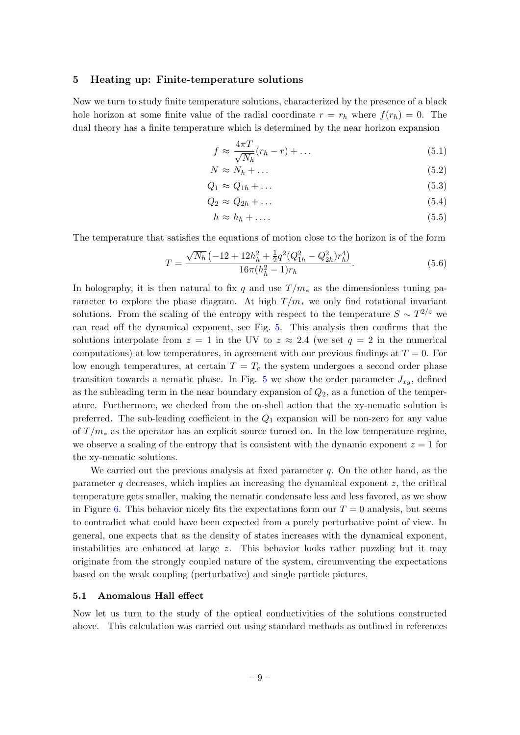#### <span id="page-9-0"></span>5 Heating up: Finite-temperature solutions

Now we turn to study finite temperature solutions, characterized by the presence of a black hole horizon at some finite value of the radial coordinate  $r = r_h$  where  $f(r_h) = 0$ . The dual theory has a finite temperature which is determined by the near horizon expansion

$$
f \approx \frac{4\pi T}{\sqrt{N_h}} (r_h - r) + \dots \tag{5.1}
$$

$$
N \approx N_h + \dots \tag{5.2}
$$

$$
Q_1 \approx Q_{1h} + \dots \tag{5.3}
$$

$$
Q_2 \approx Q_{2h} + \dots \tag{5.4}
$$

$$
h \approx h_h + \dots \tag{5.5}
$$

The temperature that satisfies the equations of motion close to the horizon is of the form

$$
T = \frac{\sqrt{N_h} \left(-12 + 12h_h^2 + \frac{1}{2}q^2(Q_{1h}^2 - Q_{2h}^2)r_h^4\right)}{16\pi(h_h^2 - 1)r_h}.
$$
\n(5.6)

In holography, it is then natural to fix q and use  $T/m_*$  as the dimensionless tuning parameter to explore the phase diagram. At high  $T/m_*$  we only find rotational invariant solutions. From the scaling of the entropy with respect to the temperature  $S \sim T^{2/z}$  we can read off the dynamical exponent, see Fig. [5.](#page-10-0) This analysis then confirms that the solutions interpolate from  $z = 1$  in the UV to  $z \approx 2.4$  (we set  $q = 2$  in the numerical computations) at low temperatures, in agreement with our previous findings at  $T = 0$ . For low enough temperatures, at certain  $T = T_c$  the system undergoes a second order phase transition towards a nematic phase. In Fig. [5](#page-10-0) we show the order parameter  $J_{xy}$ , defined as the subleading term in the near boundary expansion of  $Q_2$ , as a function of the temperature. Furthermore, we checked from the on-shell action that the xy-nematic solution is preferred. The sub-leading coefficient in the  $Q_1$  expansion will be non-zero for any value of  $T/m_*$  as the operator has an explicit source turned on. In the low temperature regime, we observe a scaling of the entropy that is consistent with the dynamic exponent  $z = 1$  for the xy-nematic solutions.

We carried out the previous analysis at fixed parameter  $q$ . On the other hand, as the parameter q decreases, which implies an increasing the dynamical exponent  $z$ , the critical temperature gets smaller, making the nematic condensate less and less favored, as we show in Figure [6.](#page-10-1) This behavior nicely fits the expectations form our  $T = 0$  analysis, but seems to contradict what could have been expected from a purely perturbative point of view. In general, one expects that as the density of states increases with the dynamical exponent, instabilities are enhanced at large z. This behavior looks rather puzzling but it may originate from the strongly coupled nature of the system, circumventing the expectations based on the weak coupling (perturbative) and single particle pictures.

#### <span id="page-9-1"></span>5.1 Anomalous Hall effect

Now let us turn to the study of the optical conductivities of the solutions constructed above. This calculation was carried out using standard methods as outlined in references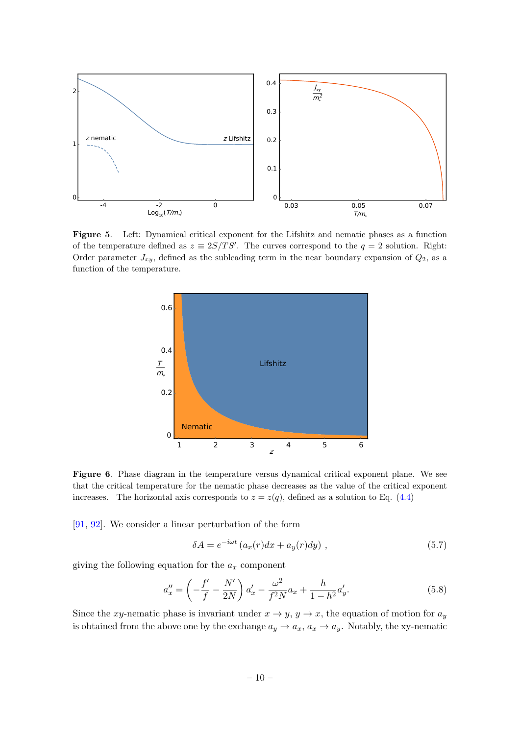

<span id="page-10-0"></span>Figure 5. Left: Dynamical critical exponent for the Lifshitz and nematic phases as a function of the temperature defined as  $z \equiv 2S/TS'$ . The curves correspond to the  $q = 2$  solution. Right: Order parameter  $J_{xy}$ , defined as the subleading term in the near boundary expansion of  $Q_2$ , as a function of the temperature.



<span id="page-10-1"></span>Figure 6. Phase diagram in the temperature versus dynamical critical exponent plane. We see that the critical temperature for the nematic phase decreases as the value of the critical exponent increases. The horizontal axis corresponds to  $z = z(q)$ , defined as a solution to Eq. [\(4.4\)](#page-5-3)

[\[91,](#page-18-13) [92\]](#page-18-14). We consider a linear perturbation of the form

$$
\delta A = e^{-i\omega t} \left( a_x(r) dx + a_y(r) dy \right) , \qquad (5.7)
$$

giving the following equation for the  $a_x$  component

<span id="page-10-2"></span>
$$
a''_x = \left(-\frac{f'}{f} - \frac{N'}{2N}\right)a'_x - \frac{\omega^2}{f^2N}a_x + \frac{h}{1-h^2}a'_y.
$$
 (5.8)

Since the xy-nematic phase is invariant under  $x \to y$ ,  $y \to x$ , the equation of motion for  $a_y$ is obtained from the above one by the exchange  $a_y \to a_x, a_x \to a_y$ . Notably, the xy-nematic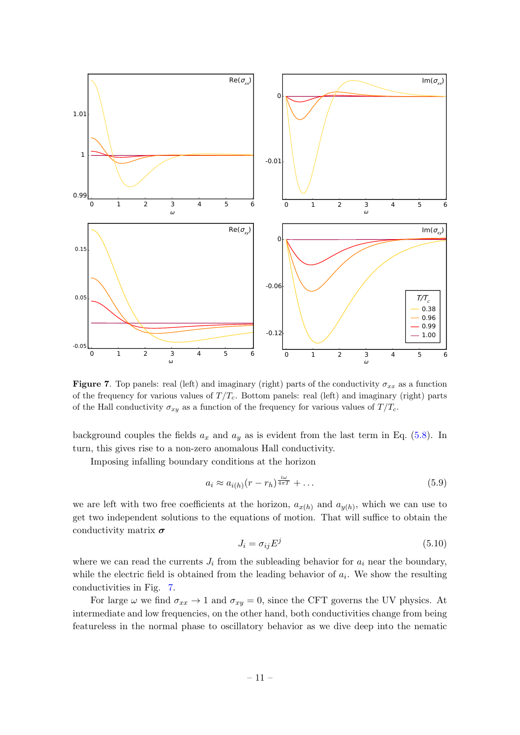

<span id="page-11-0"></span>Figure 7. Top panels: real (left) and imaginary (right) parts of the conductivity  $\sigma_{xx}$  as a function of the frequency for various values of  $T/T_c$ . Bottom panels: real (left) and imaginary (right) parts of the Hall conductivity  $\sigma_{xy}$  as a function of the frequency for various values of  $T/T_c$ .

background couples the fields  $a_x$  and  $a_y$  as is evident from the last term in Eq. [\(5.8\)](#page-10-2). In turn, this gives rise to a non-zero anomalous Hall conductivity.

iω

Imposing infalling boundary conditions at the horizon

$$
a_i \approx a_{i(h)}(r - r_h)^{\frac{\alpha}{4\pi T}} + \dots \tag{5.9}
$$

we are left with two free coefficients at the horizon,  $a_{x(h)}$  and  $a_{y(h)}$ , which we can use to get two independent solutions to the equations of motion. That will suffice to obtain the conductivity matrix  $\sigma$ 

$$
J_i = \sigma_{ij} E^j \tag{5.10}
$$

where we can read the currents  $J_i$  from the subleading behavior for  $a_i$  near the boundary, while the electric field is obtained from the leading behavior of  $a_i$ . We show the resulting conductivities in Fig. [7.](#page-11-0)

For large  $\omega$  we find  $\sigma_{xx} \to 1$  and  $\sigma_{xy} = 0$ , since the CFT governs the UV physics. At intermediate and low frequencies, on the other hand, both conductivities change from being featureless in the normal phase to oscillatory behavior as we dive deep into the nematic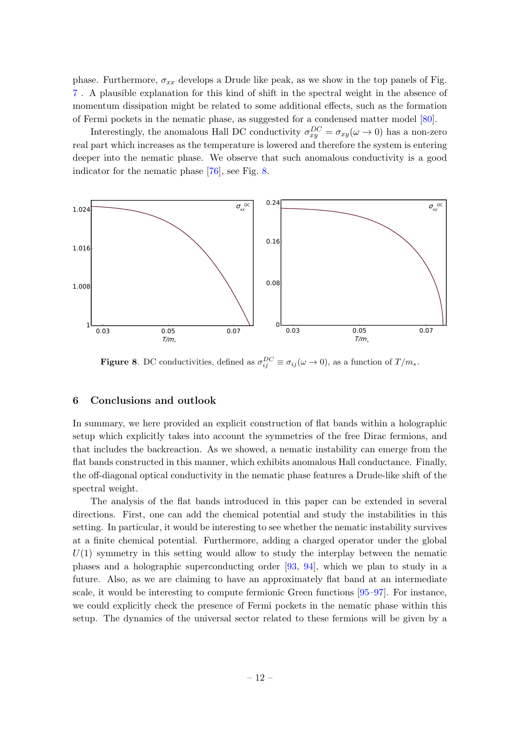phase. Furthermore,  $\sigma_{xx}$  develops a Drude like peak, as we show in the top panels of Fig. [7](#page-11-0) . A plausible explanation for this kind of shift in the spectral weight in the absence of momentum dissipation might be related to some additional effects, such as the formation of Fermi pockets in the nematic phase, as suggested for a condensed matter model [\[80\]](#page-18-2).

Interestingly, the anomalous Hall DC conductivity  $\sigma_{xy}^{DC} = \sigma_{xy}(\omega \to 0)$  has a non-zero real part which increases as the temperature is lowered and therefore the system is entering deeper into the nematic phase. We observe that such anomalous conductivity is a good indicator for the nematic phase [\[76\]](#page-17-3), see Fig. [8.](#page-12-1)



<span id="page-12-1"></span>**Figure 8.** DC conductivities, defined as  $\sigma_{ij}^{DC} \equiv \sigma_{ij}(\omega \to 0)$ , as a function of  $T/m_*$ .

### <span id="page-12-0"></span>6 Conclusions and outlook

In summary, we here provided an explicit construction of flat bands within a holographic setup which explicitly takes into account the symmetries of the free Dirac fermions, and that includes the backreaction. As we showed, a nematic instability can emerge from the flat bands constructed in this manner, which exhibits anomalous Hall conductance. Finally, the off-diagonal optical conductivity in the nematic phase features a Drude-like shift of the spectral weight.

The analysis of the flat bands introduced in this paper can be extended in several directions. First, one can add the chemical potential and study the instabilities in this setting. In particular, it would be interesting to see whether the nematic instability survives at a finite chemical potential. Furthermore, adding a charged operator under the global  $U(1)$  symmetry in this setting would allow to study the interplay between the nematic phases and a holographic superconducting order [\[93,](#page-18-15) [94\]](#page-18-16), which we plan to study in a future. Also, as we are claiming to have an approximately flat band at an intermediate scale, it would be interesting to compute fermionic Green functions [\[95–](#page-18-17)[97\]](#page-18-18). For instance, we could explicitly check the presence of Fermi pockets in the nematic phase within this setup. The dynamics of the universal sector related to these fermions will be given by a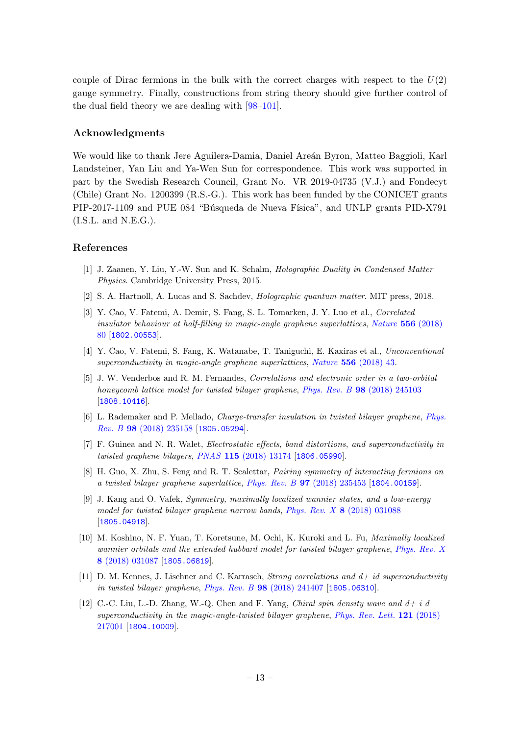couple of Dirac fermions in the bulk with the correct charges with respect to the  $U(2)$ gauge symmetry. Finally, constructions from string theory should give further control of the dual field theory we are dealing with [\[98–](#page-19-0)[101\]](#page-19-1).

### Acknowledgments

We would like to thank Jere Aguilera-Damia, Daniel Areán Byron, Matteo Baggioli, Karl Landsteiner, Yan Liu and Ya-Wen Sun for correspondence. This work was supported in part by the Swedish Research Council, Grant No. VR 2019-04735 (V.J.) and Fondecyt (Chile) Grant No. 1200399 (R.S.-G.). This work has been funded by the CONICET grants PIP-2017-1109 and PUE 084 "Búsqueda de Nueva Física", and UNLP grants PID-X791  $(I.S.L.$  and  $N.E.G.).$ 

## References

- <span id="page-13-0"></span>[1] J. Zaanen, Y. Liu, Y.-W. Sun and K. Schalm, Holographic Duality in Condensed Matter Physics. Cambridge University Press, 2015.
- <span id="page-13-1"></span>[2] S. A. Hartnoll, A. Lucas and S. Sachdev, Holographic quantum matter. MIT press, 2018.
- <span id="page-13-2"></span>[3] Y. Cao, V. Fatemi, A. Demir, S. Fang, S. L. Tomarken, J. Y. Luo et al., Correlated insulator behaviour at half-filling in magic-angle graphene superlattices, [Nature](https://doi.org/10.1038/nature26154) 556 (2018) [80](https://doi.org/10.1038/nature26154) [[1802.00553](https://arxiv.org/abs/1802.00553)].
- <span id="page-13-3"></span>[4] Y. Cao, V. Fatemi, S. Fang, K. Watanabe, T. Taniguchi, E. Kaxiras et al., Unconventional superconductivity in magic-angle graphene superlattices, Nature 556 [\(2018\) 43.](https://doi.org/10.1038/nature26160)
- <span id="page-13-4"></span>[5] J. W. Venderbos and R. M. Fernandes, Correlations and electronic order in a two-orbital honeycomb lattice model for twisted bilayer graphene, Phys. Rev. B 98 [\(2018\) 245103](https://doi.org/10.1103/PhysRevB.98.245103) [[1808.10416](https://arxiv.org/abs/1808.10416)].
- [6] L. Rademaker and P. Mellado, Charge-transfer insulation in twisted bilayer graphene, [Phys.](https://doi.org/10.1103/PhysRevB.98.235158) Rev. B 98 [\(2018\) 235158](https://doi.org/10.1103/PhysRevB.98.235158) [[1805.05294](https://arxiv.org/abs/1805.05294)].
- [7] F. Guinea and N. R. Walet, Electrostatic effects, band distortions, and superconductivity in twisted graphene bilayers, PNAS 115 [\(2018\) 13174](https://doi.org/10.1073/pnas.1810947115) [[1806.05990](https://arxiv.org/abs/1806.05990)].
- [8] H. Guo, X. Zhu, S. Feng and R. T. Scalettar, Pairing symmetry of interacting fermions on a twisted bilayer graphene superlattice, Phys. Rev. B 97 [\(2018\) 235453](https://doi.org/10.1103/PhysRevB.97.235453) [[1804.00159](https://arxiv.org/abs/1804.00159)].
- [9] J. Kang and O. Vafek, Symmetry, maximally localized wannier states, and a low-energy model for twisted bilayer graphene narrow bands, Phys. Rev. X 8 [\(2018\) 031088](https://doi.org/10.1103/PhysRevX.8.031088) [[1805.04918](https://arxiv.org/abs/1805.04918)].
- [10] M. Koshino, N. F. Yuan, T. Koretsune, M. Ochi, K. Kuroki and L. Fu, Maximally localized wannier orbitals and the extended hubbard model for twisted bilayer graphene, [Phys. Rev. X](https://doi.org/10.1103/PhysRevX.8.031087) 8 [\(2018\) 031087](https://doi.org/10.1103/PhysRevX.8.031087) [[1805.06819](https://arxiv.org/abs/1805.06819)].
- [11] D. M. Kennes, J. Lischner and C. Karrasch, *Strong correlations and*  $d + id$  *superconductivity* in twisted bilayer graphene, Phys. Rev. B 98 [\(2018\) 241407](https://doi.org/10.1103/PhysRevB.98.241407) [[1805.06310](https://arxiv.org/abs/1805.06310)].
- [12] C.-C. Liu, L.-D. Zhang, W.-Q. Chen and F. Yang, *Chiral spin density wave and*  $d+i$  *d* superconductivity in the magic-angle-twisted bilayer graphene, [Phys. Rev. Lett.](https://doi.org/10.1103/PhysRevLett.121.217001) 121 (2018) [217001](https://doi.org/10.1103/PhysRevLett.121.217001) [[1804.10009](https://arxiv.org/abs/1804.10009)].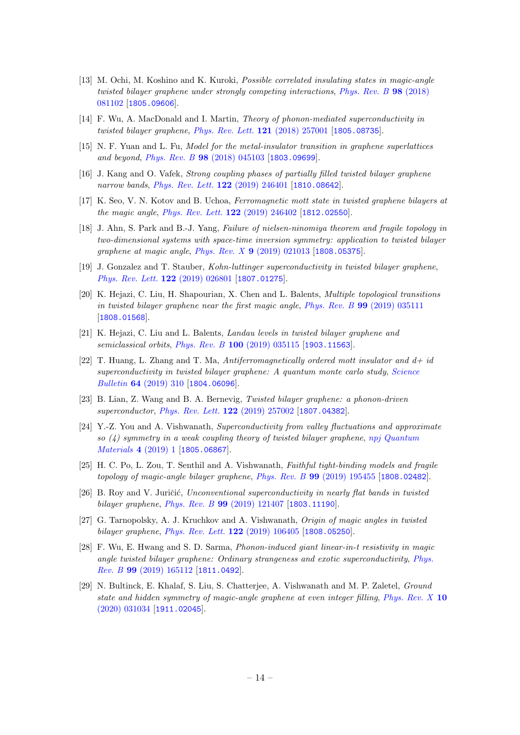- [13] M. Ochi, M. Koshino and K. Kuroki, Possible correlated insulating states in magic-angle twisted bilayer graphene under strongly competing interactions, [Phys. Rev. B](https://doi.org/10.1103/PhysRevB.98.081102) 98 (2018) [081102](https://doi.org/10.1103/PhysRevB.98.081102) [[1805.09606](https://arxiv.org/abs/1805.09606)].
- [14] F. Wu, A. MacDonald and I. Martin, Theory of phonon-mediated superconductivity in twisted bilayer graphene, [Phys. Rev. Lett.](https://doi.org/10.1103/PhysRevLett.121.257001) **121** (2018) 257001 [[1805.08735](https://arxiv.org/abs/1805.08735)].
- [15] N. F. Yuan and L. Fu, Model for the metal-insulator transition in graphene superlattices and beyond, Phys. Rev. B 98 [\(2018\) 045103](https://doi.org/10.1103/PhysRevB.98.045103) [[1803.09699](https://arxiv.org/abs/1803.09699)].
- [16] J. Kang and O. Vafek, Strong coupling phases of partially filled twisted bilayer graphene narrow bands, [Phys. Rev. Lett.](https://doi.org/10.1103/PhysRevLett.122.246401) **122** (2019) 246401 [[1810.08642](https://arxiv.org/abs/1810.08642)].
- [17] K. Seo, V. N. Kotov and B. Uchoa, Ferromagnetic mott state in twisted graphene bilayers at the magic angle, [Phys. Rev. Lett.](https://doi.org/10.1103/PhysRevLett.122.246402) 122 (2019) 246402 [[1812.02550](https://arxiv.org/abs/1812.02550)].
- [18] J. Ahn, S. Park and B.-J. Yang, Failure of nielsen-ninomiya theorem and fragile topology in two-dimensional systems with space-time inversion symmetry: application to twisted bilayer graphene at magic angle, Phys. Rev. X 9 [\(2019\) 021013](https://doi.org/10.1103/PhysRevX.9.021013) [[1808.05375](https://arxiv.org/abs/1808.05375)].
- [19] J. Gonzalez and T. Stauber, Kohn-luttinger superconductivity in twisted bilayer graphene, [Phys. Rev. Lett.](https://doi.org/10.1103/PhysRevLett.122.026801) 122 (2019) 026801 [[1807.01275](https://arxiv.org/abs/1807.01275)].
- [20] K. Hejazi, C. Liu, H. Shapourian, X. Chen and L. Balents, Multiple topological transitions in twisted bilayer graphene near the first magic angle, Phys. Rev. B 99 [\(2019\) 035111](https://doi.org/10.1103/PhysRevB.99.035111) [[1808.01568](https://arxiv.org/abs/1808.01568)].
- [21] K. Hejazi, C. Liu and L. Balents, Landau levels in twisted bilayer graphene and semiclassical orbits, Phys. Rev. B 100 [\(2019\) 035115](https://doi.org/10.1103/PhysRevB.100.035115) [[1903.11563](https://arxiv.org/abs/1903.11563)].
- [22] T. Huang, L. Zhang and T. Ma, Antiferromagnetically ordered mott insulator and  $d+i\ell$ superconductivity in twisted bilayer graphene: A quantum monte carlo study, [Science](https://doi.org/10.1016/j.scib.2019.01.026) Bulletin 64 [\(2019\) 310](https://doi.org/10.1016/j.scib.2019.01.026) [[1804.06096](https://arxiv.org/abs/1804.06096)].
- [23] B. Lian, Z. Wang and B. A. Bernevig, Twisted bilayer graphene: a phonon-driven superconductor, *[Phys. Rev. Lett.](https://doi.org/10.1103/PhysRevLett.122.257002)* **122** (2019) 257002 [[1807.04382](https://arxiv.org/abs/1807.04382)].
- [24] Y.-Z. You and A. Vishwanath, Superconductivity from valley fluctuations and approximate so  $(4)$  symmetry in a weak coupling theory of twisted bilayer graphene, [npj Quantum](https://doi.org/10.1038/s41535-019-0153-4) [Materials](https://doi.org/10.1038/s41535-019-0153-4) 4 (2019) 1 [[1805.06867](https://arxiv.org/abs/1805.06867)].
- [25] H. C. Po, L. Zou, T. Senthil and A. Vishwanath, Faithful tight-binding models and fragile topology of magic-angle bilayer graphene, Phys. Rev. B 99 [\(2019\) 195455](https://doi.org/10.1103/PhysRevB.99.195455) [[1808.02482](https://arxiv.org/abs/1808.02482)].
- [26] B. Roy and V. Juričić, Unconventional superconductivity in nearly flat bands in twisted bilayer graphene, Phys. Rev. B 99 [\(2019\) 121407](https://doi.org/10.1103/PhysRevB.99.121407) [[1803.11190](https://arxiv.org/abs/1803.11190)].
- [27] G. Tarnopolsky, A. J. Kruchkov and A. Vishwanath, Origin of magic angles in twisted bilayer graphene, [Phys. Rev. Lett.](https://doi.org/10.1103/PhysRevLett.122.106405) 122 (2019) 106405 [[1808.05250](https://arxiv.org/abs/1808.05250)].
- [28] F. Wu, E. Hwang and S. D. Sarma, Phonon-induced giant linear-in-t resistivity in magic angle twisted bilayer graphene: Ordinary strangeness and exotic superconductivity, [Phys.](https://doi.org/10.1103/PhysRevB.99.165112) Rev. B 99 [\(2019\) 165112](https://doi.org/10.1103/PhysRevB.99.165112) [[1811.0492](https://arxiv.org/abs/1811.0492)].
- [29] N. Bultinck, E. Khalaf, S. Liu, S. Chatterjee, A. Vishwanath and M. P. Zaletel, Ground state and hidden symmetry of magic-angle graphene at even integer filling, [Phys. Rev. X](https://doi.org/10.1103/PhysRevX.10.031034) 10 [\(2020\) 031034](https://doi.org/10.1103/PhysRevX.10.031034) [[1911.02045](https://arxiv.org/abs/1911.02045)].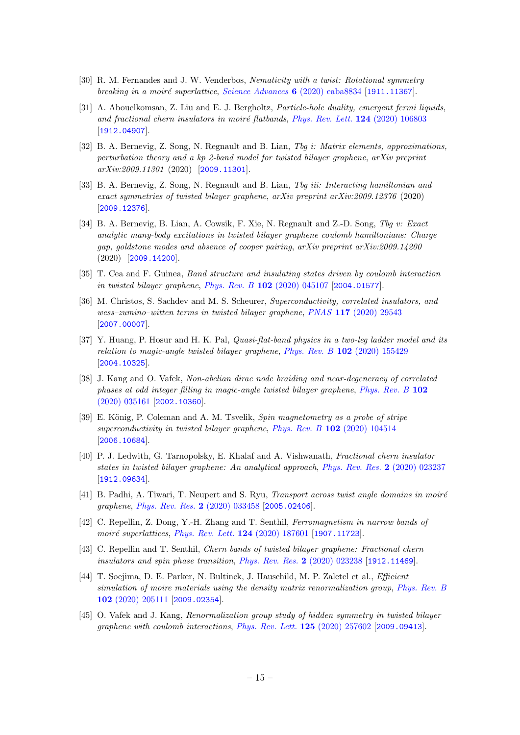- [30] R. M. Fernandes and J. W. Venderbos, Nematicity with a twist: Rotational symmetry breaking in a moiré superlattice, [Science Advances](https://doi.org/10.1126/sciadv.aba8834)  $6$  (2020) eaba8834 [[1911.11367](https://arxiv.org/abs/1911.11367)].
- [31] A. Abouelkomsan, Z. Liu and E. J. Bergholtz, Particle-hole duality, emergent fermi liquids, and fractional chern insulators in moiré flatbands, [Phys. Rev. Lett.](https://doi.org/10.1103/PhysRevLett.124.106803)  $124$  (2020) 106803 [[1912.04907](https://arxiv.org/abs/1912.04907)].
- [32] B. A. Bernevig, Z. Song, N. Regnault and B. Lian, Tbg i: Matrix elements, approximations, perturbation theory and a kp 2-band model for twisted bilayer graphene, arXiv preprint arXiv:2009.11301 (2020) [[2009.11301](https://arxiv.org/abs/2009.11301)].
- [33] B. A. Bernevig, Z. Song, N. Regnault and B. Lian, The iii: Interacting hamiltonian and exact symmetries of twisted bilayer graphene, arXiv preprint arXiv:2009.12376 (2020) [[2009.12376](https://arxiv.org/abs/2009.12376)].
- [34] B. A. Bernevig, B. Lian, A. Cowsik, F. Xie, N. Regnault and Z.-D. Song, Tbg v: Exact analytic many-body excitations in twisted bilayer graphene coulomb hamiltonians: Charge gap, goldstone modes and absence of cooper pairing, arXiv preprint arXiv:2009.14200 (2020) [[2009.14200](https://arxiv.org/abs/2009.14200)].
- [35] T. Cea and F. Guinea, Band structure and insulating states driven by coulomb interaction in twisted bilayer graphene, Phys. Rev. B 102 [\(2020\) 045107](https://doi.org/10.1103/PhysRevB.102.045107) [[2004.01577](https://arxiv.org/abs/2004.01577)].
- [36] M. Christos, S. Sachdev and M. S. Scheurer, Superconductivity, correlated insulators, and wess–zumino–witten terms in twisted bilayer graphene, PNAS 117 [\(2020\) 29543](https://doi.org/10.1073/pnas.2014691117) [[2007.00007](https://arxiv.org/abs/2007.00007)].
- [37] Y. Huang, P. Hosur and H. K. Pal, Quasi-flat-band physics in a two-leg ladder model and its relation to magic-angle twisted bilayer graphene, Phys. Rev. B 102 [\(2020\) 155429](https://doi.org/10.1103/PhysRevB.102.155429) [[2004.10325](https://arxiv.org/abs/2004.10325)].
- [38] J. Kang and O. Vafek, Non-abelian dirac node braiding and near-degeneracy of correlated phases at odd integer filling in magic-angle twisted bilayer graphene, [Phys. Rev. B](https://doi.org/10.1103/PhysRevB.102.035161) 102 [\(2020\) 035161](https://doi.org/10.1103/PhysRevB.102.035161) [[2002.10360](https://arxiv.org/abs/2002.10360)].
- [39] E. König, P. Coleman and A. M. Tsvelik, Spin magnetometry as a probe of stripe superconductivity in twisted bilayer graphene, Phys. Rev. B 102 [\(2020\) 104514](https://doi.org/10.1103/PhysRevB.102.104514) [[2006.10684](https://arxiv.org/abs/2006.10684)].
- [40] P. J. Ledwith, G. Tarnopolsky, E. Khalaf and A. Vishwanath, Fractional chern insulator states in twisted bilayer graphene: An analytical approach, [Phys. Rev. Res.](https://doi.org/10.1103/PhysRevResearch.2.023237) 2 (2020) 023237 [[1912.09634](https://arxiv.org/abs/1912.09634)].
- [41] B. Padhi, A. Tiwari, T. Neupert and S. Ryu, *Transport across twist angle domains in moiré* graphene, [Phys. Rev. Res.](https://doi.org/10.1103/PhysRevResearch.2.033458) 2 (2020) 033458 [[2005.02406](https://arxiv.org/abs/2005.02406)].
- [42] C. Repellin, Z. Dong, Y.-H. Zhang and T. Senthil, Ferromagnetism in narrow bands of moiré superlattices, [Phys. Rev. Lett.](https://doi.org/PhysRevLett.124.187601) 124 (2020) 187601 [[1907.11723](https://arxiv.org/abs/1907.11723)].
- [43] C. Repellin and T. Senthil, Chern bands of twisted bilayer graphene: Fractional chern insulators and spin phase transition, [Phys. Rev. Res.](https://doi.org/10.1103/PhysRevResearch.2.023238) 2 (2020) 023238 [[1912.11469](https://arxiv.org/abs/1912.11469)].
- [44] T. Soejima, D. E. Parker, N. Bultinck, J. Hauschild, M. P. Zaletel et al., Efficient simulation of moire materials using the density matrix renormalization group, [Phys. Rev. B](https://doi.org/10.1103/PhysRevB.102.205111) 102 [\(2020\) 205111](https://doi.org/10.1103/PhysRevB.102.205111) [[2009.02354](https://arxiv.org/abs/2009.02354)].
- [45] O. Vafek and J. Kang, Renormalization group study of hidden symmetry in twisted bilayer graphene with coulomb interactions, [Phys. Rev. Lett.](https://doi.org/10.1103/PhysRevLett.125.257602) 125 (2020) 257602 [[2009.09413](https://arxiv.org/abs/2009.09413)].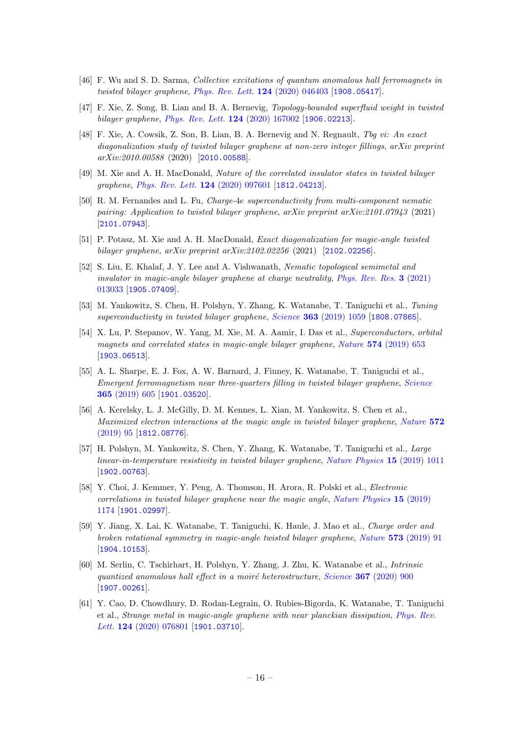- [46] F. Wu and S. D. Sarma, Collective excitations of quantum anomalous hall ferromagnets in twisted bilayer graphene, [Phys. Rev. Lett.](https://doi.org/10.1103/PhysRevLett.124.046403) 124 (2020) 046403 [[1908.05417](https://arxiv.org/abs/1908.05417)].
- [47] F. Xie, Z. Song, B. Lian and B. A. Bernevig, Topology-bounded superfluid weight in twisted bilayer graphene, [Phys. Rev. Lett.](https://doi.org/10.1103/PhysRevLett.124.167002) 124 (2020) 167002 [[1906.02213](https://arxiv.org/abs/1906.02213)].
- [48] F. Xie, A. Cowsik, Z. Son, B. Lian, B. A. Bernevig and N. Regnault, Tbg vi: An exact diagonalization study of twisted bilayer graphene at non-zero integer fillings, arXiv preprint arXiv:2010.00588 (2020) [[2010.00588](https://arxiv.org/abs/2010.00588)].
- [49] M. Xie and A. H. MacDonald, Nature of the correlated insulator states in twisted bilayer graphene, [Phys. Rev. Lett.](https://doi.org/10.1103/PhysRevLett.124.097601) 124 (2020) 097601 [[1812.04213](https://arxiv.org/abs/1812.04213)].
- [50] R. M. Fernandes and L. Fu, Charge-4e superconductivity from multi-component nematic pairing: Application to twisted bilayer graphene, arXiv preprint arXiv:2101.07943 (2021) [[2101.07943](https://arxiv.org/abs/2101.07943)].
- [51] P. Potasz, M. Xie and A. H. MacDonald, Exact diagonalization for magic-angle twisted bilayer graphene, arXiv preprint arXiv:2102.02256 (2021) [[2102.02256](https://arxiv.org/abs/2102.02256)].
- <span id="page-16-0"></span>[52] S. Liu, E. Khalaf, J. Y. Lee and A. Vishwanath, Nematic topological semimetal and insulator in magic-angle bilayer graphene at charge neutrality, [Phys. Rev. Res.](https://doi.org/10.1103/PhysRevResearch.3.013033) 3 (2021) [013033](https://doi.org/10.1103/PhysRevResearch.3.013033) [[1905.07409](https://arxiv.org/abs/1905.07409)].
- <span id="page-16-1"></span>[53] M. Yankowitz, S. Chen, H. Polshyn, Y. Zhang, K. Watanabe, T. Taniguchi et al., Tuning superconductivity in twisted bilayer graphene, Science 363 [\(2019\) 1059](https://doi.org/10.1126/science.aav1910) [[1808.07865](https://arxiv.org/abs/1808.07865)].
- [54] X. Lu, P. Stepanov, W. Yang, M. Xie, M. A. Aamir, I. Das et al., Superconductors, orbital magnets and correlated states in magic-angle bilayer graphene, Nature 574 [\(2019\) 653](https://doi.org/10.1038/s41586-019-1695-0) [[1903.06513](https://arxiv.org/abs/1903.06513)].
- [55] A. L. Sharpe, E. J. Fox, A. W. Barnard, J. Finney, K. Watanabe, T. Taniguchi et al., Emergent ferromagnetism near three-quarters filling in twisted bilayer graphene, [Science](https://doi.org/10.1126/science.aaw3780) 365 [\(2019\) 605](https://doi.org/10.1126/science.aaw3780) [[1901.03520](https://arxiv.org/abs/1901.03520)].
- [56] A. Kerelsky, L. J. McGilly, D. M. Kennes, L. Xian, M. Yankowitz, S. Chen et al., Maximized electron interactions at the magic angle in twisted bilayer graphene, [Nature](https://doi.org/10.1038/s41586-019-1431-9) 572 [\(2019\) 95](https://doi.org/10.1038/s41586-019-1431-9) [[1812.08776](https://arxiv.org/abs/1812.08776)].
- [57] H. Polshyn, M. Yankowitz, S. Chen, Y. Zhang, K. Watanabe, T. Taniguchi et al., Large linear-in-temperature resistivity in twisted bilayer graphene, [Nature Physics](https://doi.org/10.1038/s41567-019-0596-3) 15 (2019) 1011 [[1902.00763](https://arxiv.org/abs/1902.00763)].
- [58] Y. Choi, J. Kemmer, Y. Peng, A. Thomson, H. Arora, R. Polski et al., Electronic correlations in twisted bilayer graphene near the magic angle, [Nature Physics](https://doi.org/10.1038/s41567-019-0606-5) 15 (2019) [1174](https://doi.org/10.1038/s41567-019-0606-5) [[1901.02997](https://arxiv.org/abs/1901.02997)].
- [59] Y. Jiang, X. Lai, K. Watanabe, T. Taniguchi, K. Haule, J. Mao et al., Charge order and broken rotational symmetry in magic-angle twisted bilayer graphene, Nature 573 [\(2019\) 91](https://doi.org/10.1038/s41586-019-1460-4) [[1904.10153](https://arxiv.org/abs/1904.10153)].
- [60] M. Serlin, C. Tschirhart, H. Polshyn, Y. Zhang, J. Zhu, K. Watanabe et al., Intrinsic quantized anomalous hall effect in a moiré heterostructure, Science  $367$  [\(2020\) 900](https://doi.org/10.1126/science.aay5533) [[1907.00261](https://arxiv.org/abs/1907.00261)].
- [61] Y. Cao, D. Chowdhury, D. Rodan-Legrain, O. Rubies-Bigorda, K. Watanabe, T. Taniguchi et al., Strange metal in magic-angle graphene with near planckian dissipation, [Phys. Rev.](https://doi.org/10.1103/PhysRevLett.124.076801) Lett. **124** [\(2020\) 076801](https://doi.org/10.1103/PhysRevLett.124.076801) [[1901.03710](https://arxiv.org/abs/1901.03710)].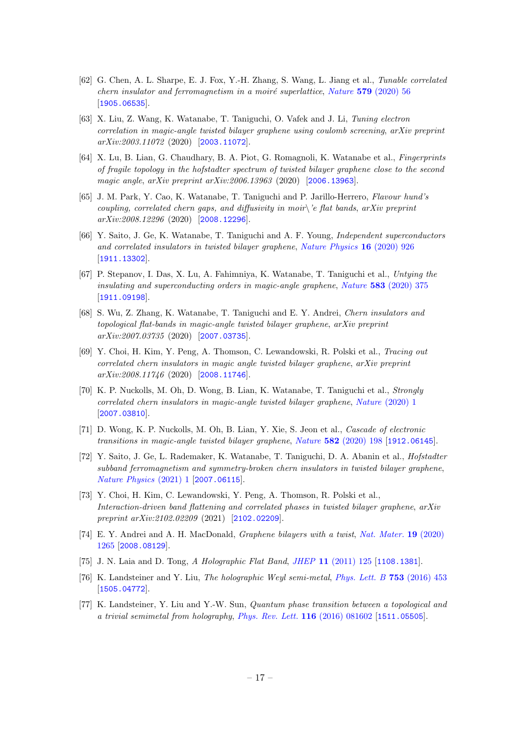- [62] G. Chen, A. L. Sharpe, E. J. Fox, Y.-H. Zhang, S. Wang, L. Jiang et al., Tunable correlated chern insulator and ferromagnetism in a moiré superlattice, Nature  $579$  [\(2020\) 56](https://doi.org/10.1038/s41586-020-2049-7) [[1905.06535](https://arxiv.org/abs/1905.06535)].
- [63] X. Liu, Z. Wang, K. Watanabe, T. Taniguchi, O. Vafek and J. Li, Tuning electron correlation in magic-angle twisted bilayer graphene using coulomb screening, arXiv preprint arXiv:2003.11072 (2020) [[2003.11072](https://arxiv.org/abs/2003.11072)].
- [64] X. Lu, B. Lian, G. Chaudhary, B. A. Piot, G. Romagnoli, K. Watanabe et al., Fingerprints of fragile topology in the hofstadter spectrum of twisted bilayer graphene close to the second magic angle, arXiv preprint arXiv:2006.13963 (2020) [[2006.13963](https://arxiv.org/abs/2006.13963)].
- [65] J. M. Park, Y. Cao, K. Watanabe, T. Taniguchi and P. Jarillo-Herrero, Flavour hund's coupling, correlated chern gaps, and diffusivity in moir  $\geq e$  flat bands, arXiv preprint arXiv:2008.12296 (2020) [[2008.12296](https://arxiv.org/abs/2008.12296)].
- [66] Y. Saito, J. Ge, K. Watanabe, T. Taniguchi and A. F. Young, Independent superconductors and correlated insulators in twisted bilayer graphene, [Nature Physics](https://doi.org/10.1038/s41567-020-0928-3) 16 (2020) 926 [[1911.13302](https://arxiv.org/abs/1911.13302)].
- [67] P. Stepanov, I. Das, X. Lu, A. Fahimniya, K. Watanabe, T. Taniguchi et al., Untying the insulating and superconducting orders in magic-angle graphene, Nature 583 [\(2020\) 375](https://doi.org/10.1038/s41586-020-2459-6) [[1911.09198](https://arxiv.org/abs/1911.09198)].
- [68] S. Wu, Z. Zhang, K. Watanabe, T. Taniguchi and E. Y. Andrei, Chern insulators and topological flat-bands in magic-angle twisted bilayer graphene, arXiv preprint arXiv:2007.03735 (2020) [[2007.03735](https://arxiv.org/abs/2007.03735)].
- [69] Y. Choi, H. Kim, Y. Peng, A. Thomson, C. Lewandowski, R. Polski et al., Tracing out correlated chern insulators in magic angle twisted bilayer graphene, arXiv preprint arXiv:2008.11746 (2020) [[2008.11746](https://arxiv.org/abs/2008.11746)].
- [70] K. P. Nuckolls, M. Oh, D. Wong, B. Lian, K. Watanabe, T. Taniguchi et al., Strongly correlated chern insulators in magic-angle twisted bilayer graphene, Nature [\(2020\) 1](https://doi.org/10.1038/s41586-020-3028-8) [[2007.03810](https://arxiv.org/abs/2007.03810)].
- [71] D. Wong, K. P. Nuckolls, M. Oh, B. Lian, Y. Xie, S. Jeon et al., Cascade of electronic transitions in magic-angle twisted bilayer graphene, Nature 582 [\(2020\) 198](https://doi.org/10.1038/s41586-020-2339-0) [[1912.06145](https://arxiv.org/abs/1912.06145)].
- [72] Y. Saito, J. Ge, L. Rademaker, K. Watanabe, T. Taniguchi, D. A. Abanin et al., Hofstadter subband ferromagnetism and symmetry-broken chern insulators in twisted bilayer graphene, [Nature Physics](https://doi.org/10.1038/s41567-020-01129-4) (2021) 1 [[2007.06115](https://arxiv.org/abs/2007.06115)].
- <span id="page-17-0"></span>[73] Y. Choi, H. Kim, C. Lewandowski, Y. Peng, A. Thomson, R. Polski et al., Interaction-driven band flattening and correlated phases in twisted bilayer graphene, arXiv preprint arXiv:[2102.02209](https://arxiv.org/abs/2102.02209) (2021) [2102.02209].
- <span id="page-17-1"></span>[74] E. Y. Andrei and A. H. MacDonald, Graphene bilayers with a twist, [Nat. Mater.](https://doi.org/10.1038/s41563-020-00840-0) 19 (2020) [1265](https://doi.org/10.1038/s41563-020-00840-0) [[2008.08129](https://arxiv.org/abs/2008.08129)].
- <span id="page-17-2"></span>[75] J. N. Laia and D. Tong, A Holographic Flat Band, JHEP 11 [\(2011\) 125](https://doi.org/10.1007/JHEP11(2011)125) [[1108.1381](https://arxiv.org/abs/1108.1381)].
- <span id="page-17-3"></span>[76] K. Landsteiner and Y. Liu, The holographic Weyl semi-metal, [Phys. Lett. B](https://doi.org/10.1016/j.physletb.2015.12.052) 753 (2016) 453 [[1505.04772](https://arxiv.org/abs/1505.04772)].
- <span id="page-17-4"></span>[77] K. Landsteiner, Y. Liu and Y.-W. Sun, Quantum phase transition between a topological and a trivial semimetal from holography, [Phys. Rev. Lett.](https://doi.org/10.1103/PhysRevLett.116.081602) 116 (2016) 081602 [[1511.05505](https://arxiv.org/abs/1511.05505)].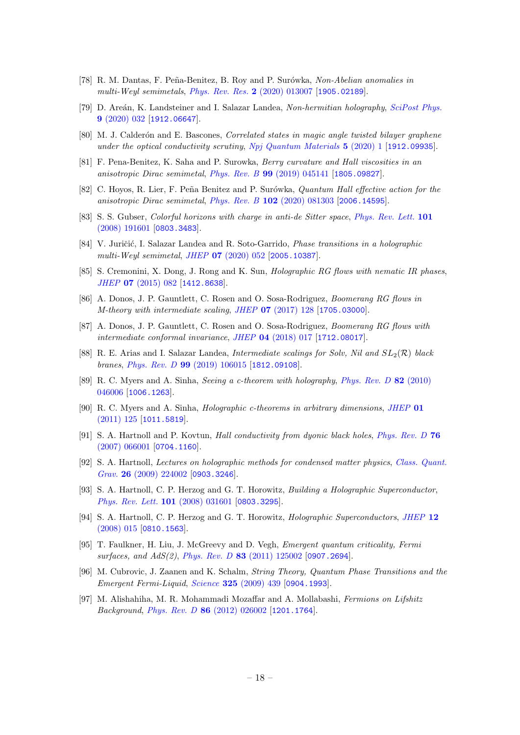- <span id="page-18-0"></span>[78] R. M. Dantas, F. Peña-Benitez, B. Roy and P. Surówka, Non-Abelian anomalies in multi-Weyl semimetals, [Phys. Rev. Res.](https://doi.org/10.1103/PhysRevResearch.2.013007) 2 (2020) 013007 [[1905.02189](https://arxiv.org/abs/1905.02189)].
- <span id="page-18-1"></span>[79] D. Areán, K. Landsteiner and I. Salazar Landea, Non-hermitian holography, [SciPost Phys.](https://doi.org/10.21468/SciPostPhys.9.3.032) 9 [\(2020\) 032](https://doi.org/10.21468/SciPostPhys.9.3.032) [[1912.06647](https://arxiv.org/abs/1912.06647)].
- <span id="page-18-2"></span>[80] M. J. Calderón and E. Bascones, Correlated states in magic angle twisted bilayer graphene under the optical conductivity scrutiny,  $Npi$  Quantum Materials  $5$  (2020) 1 [[1912.09935](https://arxiv.org/abs/1912.09935)].
- <span id="page-18-3"></span>[81] F. Pena-Benitez, K. Saha and P. Surowka, Berry curvature and Hall viscosities in an anisotropic Dirac semimetal, Phys. Rev. B 99 [\(2019\) 045141](https://doi.org/10.1103/PhysRevB.99.045141) [[1805.09827](https://arxiv.org/abs/1805.09827)].
- <span id="page-18-4"></span>[82] C. Hoyos, R. Lier, F. Peña Benitez and P. Surówka, *Quantum Hall effective action for the* anisotropic Dirac semimetal, Phys. Rev. B 102 [\(2020\) 081303](https://doi.org/10.1103/PhysRevB.102.081303) [[2006.14595](https://arxiv.org/abs/2006.14595)].
- <span id="page-18-5"></span>[83] S. S. Gubser, *Colorful horizons with charge in anti-de Sitter space, [Phys. Rev. Lett.](https://doi.org/10.1103/PhysRevLett.101.191601)* 101 [\(2008\) 191601](https://doi.org/10.1103/PhysRevLett.101.191601) [[0803.3483](https://arxiv.org/abs/0803.3483)].
- <span id="page-18-6"></span>[84] V. Juričić, I. Salazar Landea and R. Soto-Garrido, *Phase transitions in a holographic* multi-Weyl semimetal, JHEP 07 [\(2020\) 052](https://doi.org/10.1007/JHEP07(2020)052) [[2005.10387](https://arxiv.org/abs/2005.10387)].
- <span id="page-18-7"></span>[85] S. Cremonini, X. Dong, J. Rong and K. Sun, *Holographic RG flows with nematic IR phases*, JHEP 07 [\(2015\) 082](https://doi.org/10.1007/JHEP07(2015)082) [[1412.8638](https://arxiv.org/abs/1412.8638)].
- <span id="page-18-8"></span>[86] A. Donos, J. P. Gauntlett, C. Rosen and O. Sosa-Rodriguez, Boomerang RG flows in M-theory with intermediate scaling, JHEP 07 [\(2017\) 128](https://doi.org/10.1007/JHEP07(2017)128) [[1705.03000](https://arxiv.org/abs/1705.03000)].
- <span id="page-18-10"></span>[87] A. Donos, J. P. Gauntlett, C. Rosen and O. Sosa-Rodriguez, Boomerang RG flows with intermediate conformal invariance, JHEP 04 [\(2018\) 017](https://doi.org/10.1007/JHEP04(2018)017) [[1712.08017](https://arxiv.org/abs/1712.08017)].
- <span id="page-18-9"></span>[88] R. E. Arias and I. Salazar Landea, Intermediate scalings for Solv, Nil and  $SL_2(\mathcal{R})$  black branes, Phys. Rev. D 99 [\(2019\) 106015](https://doi.org/10.1103/PhysRevD.99.106015) [[1812.09108](https://arxiv.org/abs/1812.09108)].
- <span id="page-18-11"></span>[89] R. C. Myers and A. Sinha, Seeing a c-theorem with holography, [Phys. Rev. D](https://doi.org/10.1103/PhysRevD.82.046006) 82 (2010) [046006](https://doi.org/10.1103/PhysRevD.82.046006) [[1006.1263](https://arxiv.org/abs/1006.1263)].
- <span id="page-18-12"></span>[90] R. C. Myers and A. Sinha, Holographic c-theorems in arbitrary dimensions, [JHEP](https://doi.org/10.1007/JHEP01(2011)125) 01 [\(2011\) 125](https://doi.org/10.1007/JHEP01(2011)125) [[1011.5819](https://arxiv.org/abs/1011.5819)].
- <span id="page-18-13"></span>[91] S. A. Hartnoll and P. Kovtun, Hall conductivity from dyonic black holes, [Phys. Rev. D](https://doi.org/10.1103/PhysRevD.76.066001) 76 [\(2007\) 066001](https://doi.org/10.1103/PhysRevD.76.066001) [[0704.1160](https://arxiv.org/abs/0704.1160)].
- <span id="page-18-14"></span>[92] S. A. Hartnoll, Lectures on holographic methods for condensed matter physics, [Class. Quant.](https://doi.org/10.1088/0264-9381/26/22/224002) Grav. 26 [\(2009\) 224002](https://doi.org/10.1088/0264-9381/26/22/224002) [[0903.3246](https://arxiv.org/abs/0903.3246)].
- <span id="page-18-15"></span>[93] S. A. Hartnoll, C. P. Herzog and G. T. Horowitz, Building a Holographic Superconductor, [Phys. Rev. Lett.](https://doi.org/10.1103/PhysRevLett.101.031601) 101 (2008) 031601 [[0803.3295](https://arxiv.org/abs/0803.3295)].
- <span id="page-18-16"></span>[94] S. A. Hartnoll, C. P. Herzog and G. T. Horowitz, Holographic Superconductors, [JHEP](https://doi.org/10.1088/1126-6708/2008/12/015) 12 [\(2008\) 015](https://doi.org/10.1088/1126-6708/2008/12/015) [[0810.1563](https://arxiv.org/abs/0810.1563)].
- <span id="page-18-17"></span>[95] T. Faulkner, H. Liu, J. McGreevy and D. Vegh, Emergent quantum criticality, Fermi surfaces, and AdS(2), Phys. Rev. D 83 [\(2011\) 125002](https://doi.org/10.1103/PhysRevD.83.125002) [[0907.2694](https://arxiv.org/abs/0907.2694)].
- [96] M. Cubrovic, J. Zaanen and K. Schalm, String Theory, Quantum Phase Transitions and the Emergent Fermi-Liquid, Science 325 [\(2009\) 439](https://doi.org/10.1126/science.1174962) [[0904.1993](https://arxiv.org/abs/0904.1993)].
- <span id="page-18-18"></span>[97] M. Alishahiha, M. R. Mohammadi Mozaffar and A. Mollabashi, Fermions on Lifshitz Background, Phys. Rev. D 86 [\(2012\) 026002](https://doi.org/10.1103/PhysRevD.86.026002) [[1201.1764](https://arxiv.org/abs/1201.1764)].